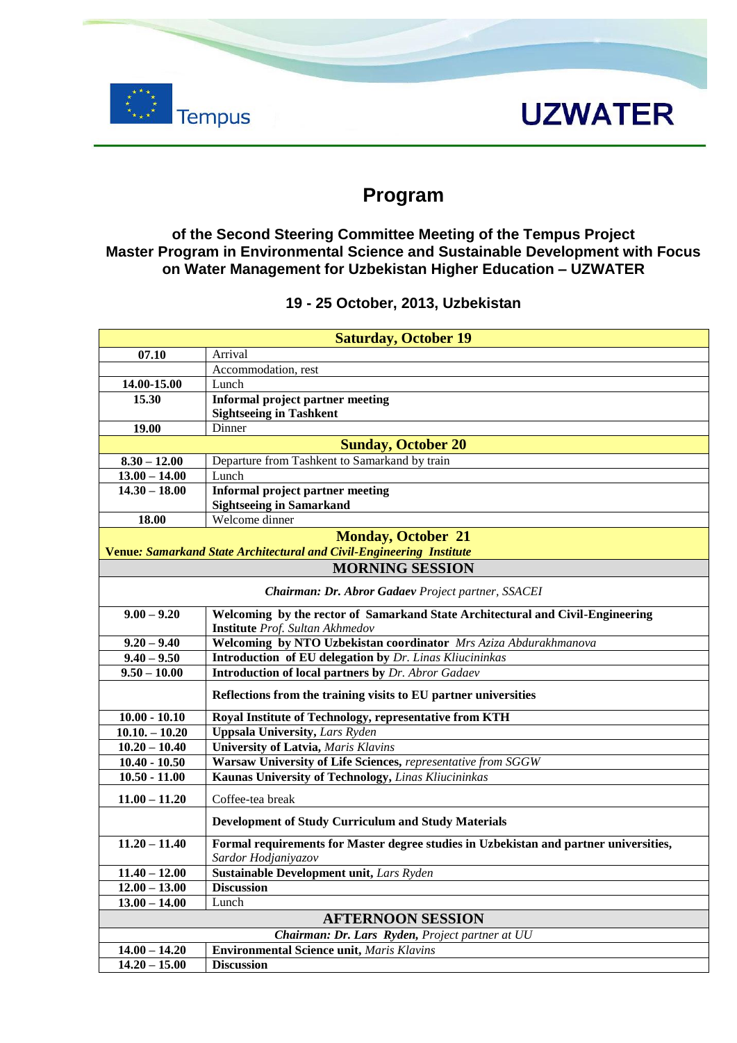

## **UZWATER**

### **Program**

#### **of the Second Steering Committee Meeting of the Tempus Project Master Program in Environmental Science and Sustainable Development with Focus on Water Management for Uzbekistan Higher Education – UZWATER**

#### **19 - 25 October, 2013, Uzbekistan**

| <b>Saturday, October 19</b>                                          |                                                                                       |
|----------------------------------------------------------------------|---------------------------------------------------------------------------------------|
| 07.10                                                                | Arrival                                                                               |
|                                                                      | Accommodation, rest                                                                   |
| 14.00-15.00                                                          | Lunch                                                                                 |
| 15.30                                                                | Informal project partner meeting                                                      |
|                                                                      | <b>Sightseeing in Tashkent</b>                                                        |
| 19.00                                                                | Dinner                                                                                |
| <b>Sunday, October 20</b>                                            |                                                                                       |
| $8.30 - 12.00$                                                       | Departure from Tashkent to Samarkand by train                                         |
| $13.00 - 14.00$                                                      | Lunch                                                                                 |
| $14.30 - 18.00$                                                      | <b>Informal project partner meeting</b>                                               |
|                                                                      | <b>Sightseeing in Samarkand</b>                                                       |
| 18.00                                                                | Welcome dinner                                                                        |
| <b>Monday, October 21</b>                                            |                                                                                       |
| Venue: Samarkand State Architectural and Civil-Engineering Institute |                                                                                       |
|                                                                      | <b>MORNING SESSION</b>                                                                |
| Chairman: Dr. Abror Gadaev Project partner, SSACEI                   |                                                                                       |
| $9.00 - 9.20$                                                        | Welcoming by the rector of Samarkand State Architectural and Civil-Engineering        |
|                                                                      | <b>Institute</b> Prof. Sultan Akhmedov                                                |
| $9.20 - 9.40$                                                        | Welcoming by NTO Uzbekistan coordinator Mrs Aziza Abdurakhmanova                      |
| $9.40 - 9.50$                                                        | <b>Introduction of EU delegation by Dr. Linas Kliucininkas</b>                        |
| $9.50 - 10.00$                                                       | <b>Introduction of local partners by Dr. Abror Gadaev</b>                             |
|                                                                      | Reflections from the training visits to EU partner universities                       |
| $10.00 - 10.10$                                                      | Royal Institute of Technology, representative from KTH                                |
| $10.10 - 10.20$                                                      | <b>Uppsala University, Lars Ryden</b>                                                 |
| $10.20 - 10.40$                                                      | <b>University of Latvia, Maris Klavins</b>                                            |
| $10.40 - 10.50$                                                      | Warsaw University of Life Sciences, representative from SGGW                          |
| $10.50 - 11.00$                                                      | Kaunas University of Technology, Linas Kliucininkas                                   |
|                                                                      |                                                                                       |
| $11.00 - 11.20$                                                      | Coffee-tea break                                                                      |
|                                                                      | Development of Study Curriculum and Study Materials                                   |
| $11.20 - 11.40$                                                      | Formal requirements for Master degree studies in Uzbekistan and partner universities, |
|                                                                      | Sardor Hodjaniyazov                                                                   |
| $11.40 - 12.00$                                                      | Sustainable Development unit, Lars Ryden                                              |
| $12.00 - 13.00$                                                      | <b>Discussion</b>                                                                     |
| $13.00 - 14.00$                                                      | Lunch                                                                                 |
| <b>AFTERNOON SESSION</b>                                             |                                                                                       |
| Chairman: Dr. Lars Ryden, Project partner at UU                      |                                                                                       |
| $14.00 - 14.20$                                                      | <b>Environmental Science unit, Maris Klavins</b>                                      |
| $14.20 - 15.00$                                                      | <b>Discussion</b>                                                                     |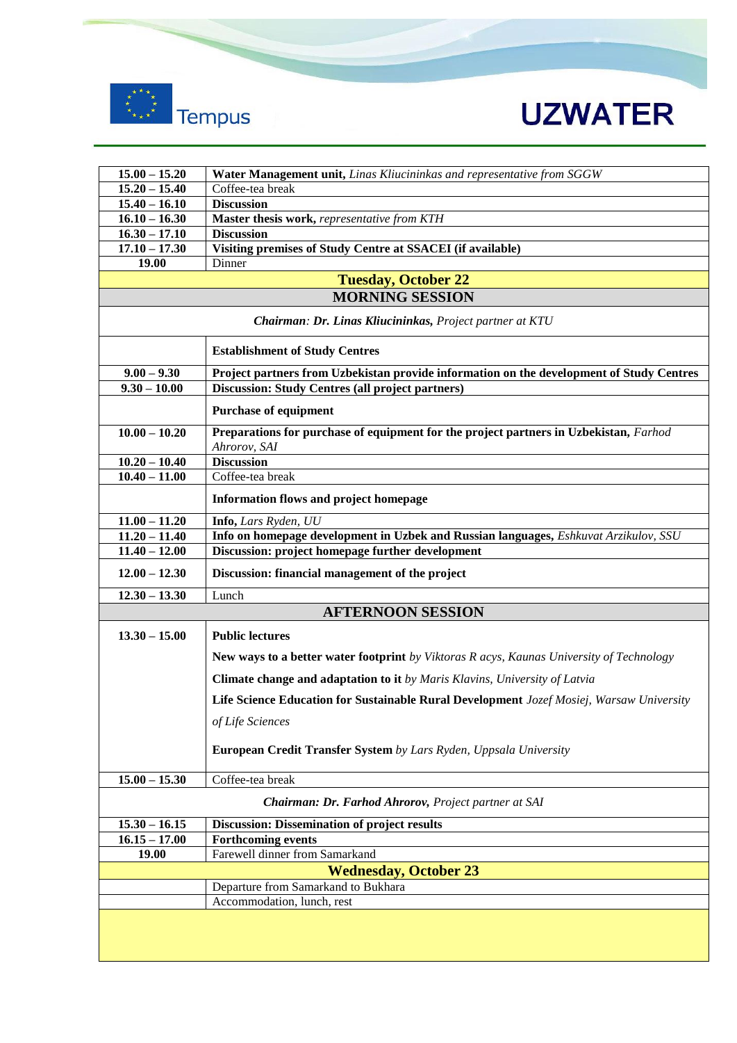



| $15.00 - 15.20$                                          | Water Management unit, Linas Kliucininkas and representative from SGGW                                |  |
|----------------------------------------------------------|-------------------------------------------------------------------------------------------------------|--|
| $15.20 - 15.40$                                          | Coffee-tea break                                                                                      |  |
| $15.40 - 16.10$                                          | <b>Discussion</b>                                                                                     |  |
| $16.10 - 16.30$                                          | Master thesis work, representative from KTH                                                           |  |
| $16.30 - 17.10$                                          | <b>Discussion</b>                                                                                     |  |
| $17.10 - 17.30$                                          | Visiting premises of Study Centre at SSACEI (if available)                                            |  |
| 19.00                                                    | Dinner                                                                                                |  |
| <b>Tuesday, October 22</b>                               |                                                                                                       |  |
|                                                          | <b>MORNING SESSION</b>                                                                                |  |
| Chairman: Dr. Linas Kliucininkas, Project partner at KTU |                                                                                                       |  |
|                                                          | <b>Establishment of Study Centres</b>                                                                 |  |
| $9.00 - 9.30$                                            | Project partners from Uzbekistan provide information on the development of Study Centres              |  |
| $9.30 - 10.00$                                           | <b>Discussion: Study Centres (all project partners)</b>                                               |  |
|                                                          | <b>Purchase of equipment</b>                                                                          |  |
| $10.00 - 10.20$                                          | Preparations for purchase of equipment for the project partners in Uzbekistan, Farhod<br>Ahrorov, SAI |  |
| $10.20 - 10.40$                                          | <b>Discussion</b>                                                                                     |  |
| $10.40 - 11.00$                                          | Coffee-tea break                                                                                      |  |
|                                                          | Information flows and project homepage                                                                |  |
| $11.00 - 11.20$                                          | Info, Lars Ryden, UU                                                                                  |  |
| $11.20 - 11.40$                                          | Info on homepage development in Uzbek and Russian languages, Eshkuvat Arzikulov, SSU                  |  |
| $11.40 - 12.00$                                          | Discussion: project homepage further development                                                      |  |
| $12.00 - 12.30$                                          | Discussion: financial management of the project                                                       |  |
| $12.30 - 13.30$                                          | Lunch                                                                                                 |  |
|                                                          | <b>AFTERNOON SESSION</b>                                                                              |  |
| $13.30 - 15.00$                                          | <b>Public lectures</b>                                                                                |  |
|                                                          |                                                                                                       |  |
|                                                          | <b>New ways to a better water footprint</b> by Viktoras R acys, Kaunas University of Technology       |  |
|                                                          | Climate change and adaptation to it by Maris Klavins, University of Latvia                            |  |
|                                                          | Life Science Education for Sustainable Rural Development Jozef Mosiej, Warsaw University              |  |
|                                                          | of Life Sciences                                                                                      |  |
|                                                          | European Credit Transfer System by Lars Ryden, Uppsala University                                     |  |
| $15.00 - 15.30$                                          | Coffee-tea break                                                                                      |  |
| Chairman: Dr. Farhod Ahrorov, Project partner at SAI     |                                                                                                       |  |
| $15.30 - 16.15$                                          | Discussion: Dissemination of project results                                                          |  |
| $16.15 - 17.00$                                          | <b>Forthcoming events</b>                                                                             |  |
| 19.00                                                    | Farewell dinner from Samarkand                                                                        |  |
| <b>Wednesday, October 23</b>                             |                                                                                                       |  |
| Departure from Samarkand to Bukhara                      |                                                                                                       |  |
|                                                          | Accommodation, lunch, rest                                                                            |  |
|                                                          |                                                                                                       |  |
|                                                          |                                                                                                       |  |
|                                                          |                                                                                                       |  |